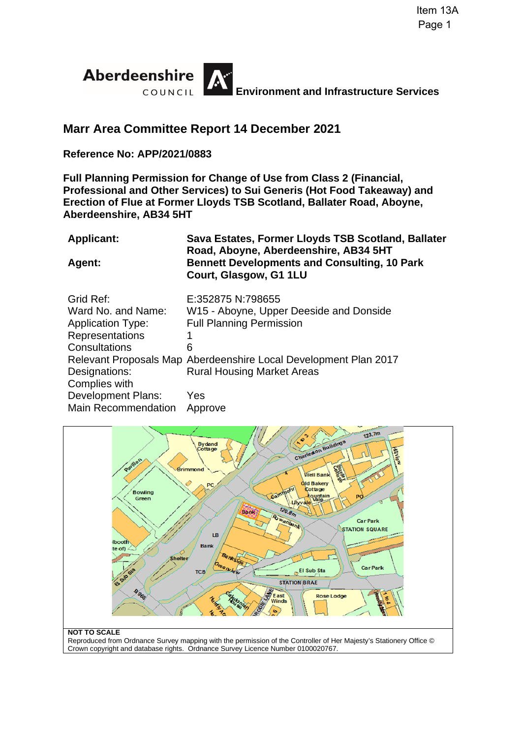

# **Marr Area Committee Report 14 December 2021**

## **Reference No: APP/2021/0883**

**Full Planning Permission for Change of Use from Class 2 (Financial, Professional and Other Services) to Sui Generis (Hot Food Takeaway) and Erection of Flue at Former Lloyds TSB Scotland, Ballater Road, Aboyne, Aberdeenshire, AB34 5HT** 

| <b>Applicant:</b>          | Sava Estates, Former Lloyds TSB Scotland, Ballater<br>Road, Aboyne, Aberdeenshire, AB34 5HT |
|----------------------------|---------------------------------------------------------------------------------------------|
| Agent:                     | <b>Bennett Developments and Consulting, 10 Park</b><br>Court, Glasgow, G1 1LU               |
| Grid Ref:                  | E:352875 N:798655                                                                           |
| Ward No. and Name:         | W15 - Aboyne, Upper Deeside and Donside                                                     |
| <b>Application Type:</b>   | <b>Full Planning Permission</b>                                                             |
| Representations            | 1                                                                                           |
| Consultations              | 6                                                                                           |
|                            | Relevant Proposals Map Aberdeenshire Local Development Plan 2017                            |
| Designations:              | <b>Rural Housing Market Areas</b>                                                           |
| Complies with              |                                                                                             |
| <b>Development Plans:</b>  | Yes                                                                                         |
| <b>Main Recommendation</b> | Approve                                                                                     |



Reproduced from Ordnance Survey mapping with the permission of the Controller of Her Majesty's Stationery Office © Crown copyright and database rights. Ordnance Survey Licence Number 0100020767.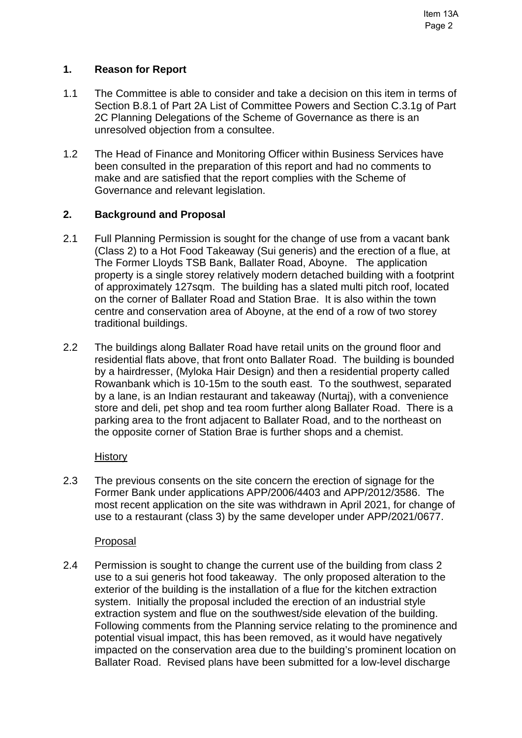# **1. Reason for Report**

- 1.1 The Committee is able to consider and take a decision on this item in terms of Section B.8.1 of Part 2A List of Committee Powers and Section C.3.1g of Part 2C Planning Delegations of the Scheme of Governance as there is an unresolved objection from a consultee.
- 1.2 The Head of Finance and Monitoring Officer within Business Services have been consulted in the preparation of this report and had no comments to make and are satisfied that the report complies with the Scheme of Governance and relevant legislation.

# **2. Background and Proposal**

- 2.1 Full Planning Permission is sought for the change of use from a vacant bank (Class 2) to a Hot Food Takeaway (Sui generis) and the erection of a flue, at The Former Lloyds TSB Bank, Ballater Road, Aboyne. The application property is a single storey relatively modern detached building with a footprint of approximately 127sqm. The building has a slated multi pitch roof, located on the corner of Ballater Road and Station Brae. It is also within the town centre and conservation area of Aboyne, at the end of a row of two storey traditional buildings.
- 2.2 The buildings along Ballater Road have retail units on the ground floor and residential flats above, that front onto Ballater Road. The building is bounded by a hairdresser, (Myloka Hair Design) and then a residential property called Rowanbank which is 10-15m to the south east. To the southwest, separated by a lane, is an Indian restaurant and takeaway (Nurtaj), with a convenience store and deli, pet shop and tea room further along Ballater Road. There is a parking area to the front adjacent to Ballater Road, and to the northeast on the opposite corner of Station Brae is further shops and a chemist.

# **History**

2.3 The previous consents on the site concern the erection of signage for the Former Bank under applications APP/2006/4403 and APP/2012/3586. The most recent application on the site was withdrawn in April 2021, for change of use to a restaurant (class 3) by the same developer under APP/2021/0677.

# Proposal

2.4 Permission is sought to change the current use of the building from class 2 use to a sui generis hot food takeaway. The only proposed alteration to the exterior of the building is the installation of a flue for the kitchen extraction system. Initially the proposal included the erection of an industrial style extraction system and flue on the southwest/side elevation of the building. Following comments from the Planning service relating to the prominence and potential visual impact, this has been removed, as it would have negatively impacted on the conservation area due to the building's prominent location on Ballater Road. Revised plans have been submitted for a low-level discharge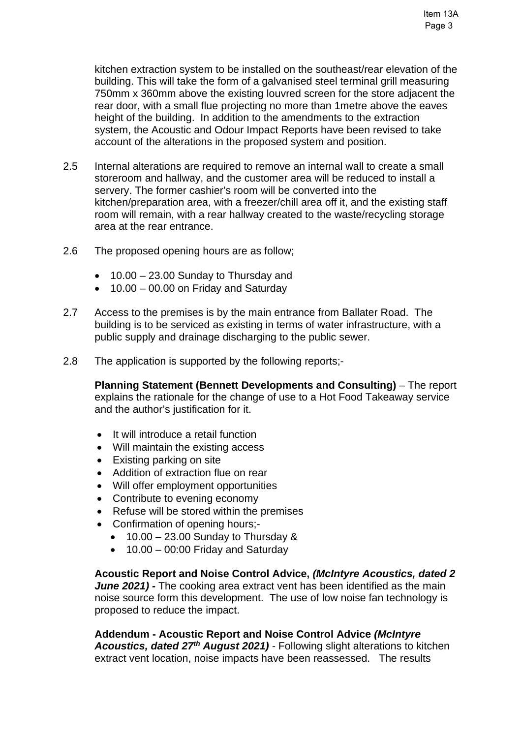kitchen extraction system to be installed on the southeast/rear elevation of the building. This will take the form of a galvanised steel terminal grill measuring 750mm x 360mm above the existing louvred screen for the store adjacent the rear door, with a small flue projecting no more than 1metre above the eaves height of the building. In addition to the amendments to the extraction system, the Acoustic and Odour Impact Reports have been revised to take account of the alterations in the proposed system and position.

- 2.5 Internal alterations are required to remove an internal wall to create a small storeroom and hallway, and the customer area will be reduced to install a servery. The former cashier's room will be converted into the kitchen/preparation area, with a freezer/chill area off it, and the existing staff room will remain, with a rear hallway created to the waste/recycling storage area at the rear entrance.
- 2.6 The proposed opening hours are as follow;
	- 10.00 23.00 Sunday to Thursday and
	- $\bullet$  10.00 00.00 on Friday and Saturday
- 2.7 Access to the premises is by the main entrance from Ballater Road. The building is to be serviced as existing in terms of water infrastructure, with a public supply and drainage discharging to the public sewer.
- 2.8 The application is supported by the following reports;-

**Planning Statement (Bennett Developments and Consulting)** – The report explains the rationale for the change of use to a Hot Food Takeaway service and the author's justification for it.

- It will introduce a retail function
- Will maintain the existing access
- Existing parking on site
- Addition of extraction flue on rear
- Will offer employment opportunities
- Contribute to evening economy
- Refuse will be stored within the premises
- Confirmation of opening hours;-
	- $\bullet$  10.00 23.00 Sunday to Thursday &
	- $\bullet$  10.00 00:00 Friday and Saturday

**Acoustic Report and Noise Control Advice,** *(McIntyre Acoustics, dated 2 June 2021) -* The cooking area extract vent has been identified as the main noise source form this development. The use of low noise fan technology is proposed to reduce the impact.

**Addendum - Acoustic Report and Noise Control Advice** *(McIntyre Acoustics, dated 27th August 2021) -* Following slight alterations to kitchen extract vent location, noise impacts have been reassessed. The results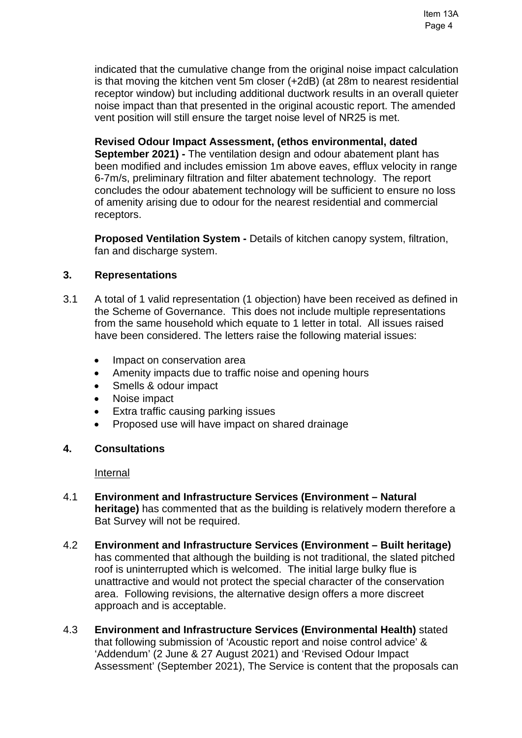indicated that the cumulative change from the original noise impact calculation is that moving the kitchen vent 5m closer (+2dB) (at 28m to nearest residential receptor window) but including additional ductwork results in an overall quieter noise impact than that presented in the original acoustic report. The amended vent position will still ensure the target noise level of NR25 is met.

**Revised Odour Impact Assessment, (ethos environmental, dated September 2021) -** The ventilation design and odour abatement plant has been modified and includes emission 1m above eaves, efflux velocity in range 6-7m/s, preliminary filtration and filter abatement technology. The report

concludes the odour abatement technology will be sufficient to ensure no loss of amenity arising due to odour for the nearest residential and commercial receptors.

**Proposed Ventilation System -** Details of kitchen canopy system, filtration, fan and discharge system.

# **3. Representations**

- 3.1 A total of 1 valid representation (1 objection) have been received as defined in the Scheme of Governance. This does not include multiple representations from the same household which equate to 1 letter in total. All issues raised have been considered. The letters raise the following material issues:
	- Impact on conservation area
	- Amenity impacts due to traffic noise and opening hours
	- Smells & odour impact
	- Noise impact
	- Extra traffic causing parking issues
	- Proposed use will have impact on shared drainage

# **4. Consultations**

# Internal

- 4.1 **Environment and Infrastructure Services (Environment Natural heritage)** has commented that as the building is relatively modern therefore a Bat Survey will not be required.
- 4.2 **Environment and Infrastructure Services (Environment Built heritage)** has commented that although the building is not traditional, the slated pitched roof is uninterrupted which is welcomed. The initial large bulky flue is unattractive and would not protect the special character of the conservation area. Following revisions, the alternative design offers a more discreet approach and is acceptable.
- 4.3 **Environment and Infrastructure Services (Environmental Health)** stated that following submission of 'Acoustic report and noise control advice' & 'Addendum' (2 June & 27 August 2021) and 'Revised Odour Impact Assessment' (September 2021), The Service is content that the proposals can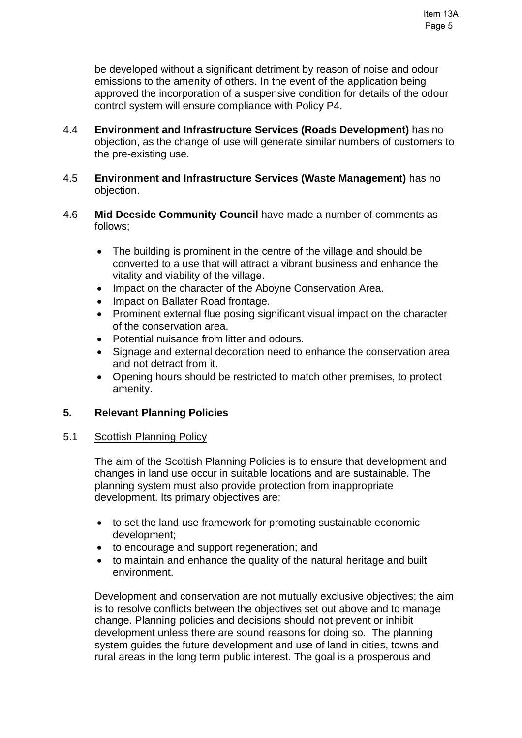be developed without a significant detriment by reason of noise and odour emissions to the amenity of others. In the event of the application being approved the incorporation of a suspensive condition for details of the odour control system will ensure compliance with Policy P4.

- 4.4 **Environment and Infrastructure Services (Roads Development)** has no objection, as the change of use will generate similar numbers of customers to the pre-existing use.
- 4.5 **Environment and Infrastructure Services (Waste Management)** has no objection.
- 4.6 **Mid Deeside Community Council** have made a number of comments as follows;
	- The building is prominent in the centre of the village and should be converted to a use that will attract a vibrant business and enhance the vitality and viability of the village.
	- Impact on the character of the Aboyne Conservation Area.
	- Impact on Ballater Road frontage.
	- Prominent external flue posing significant visual impact on the character of the conservation area.
	- Potential nuisance from litter and odours.
	- Signage and external decoration need to enhance the conservation area and not detract from it.
	- Opening hours should be restricted to match other premises, to protect amenity.

# **5. Relevant Planning Policies**

#### 5.1 Scottish Planning Policy

The aim of the Scottish Planning Policies is to ensure that development and changes in land use occur in suitable locations and are sustainable. The planning system must also provide protection from inappropriate development. Its primary objectives are:

- to set the land use framework for promoting sustainable economic development;
- to encourage and support regeneration; and
- to maintain and enhance the quality of the natural heritage and built environment.

Development and conservation are not mutually exclusive objectives; the aim is to resolve conflicts between the objectives set out above and to manage change. Planning policies and decisions should not prevent or inhibit development unless there are sound reasons for doing so. The planning system guides the future development and use of land in cities, towns and rural areas in the long term public interest. The goal is a prosperous and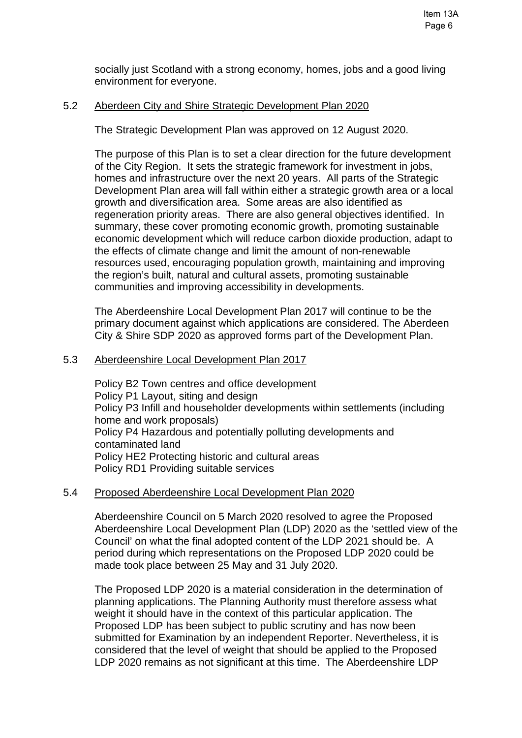socially just Scotland with a strong economy, homes, jobs and a good living environment for everyone.

#### 5.2 Aberdeen City and Shire Strategic Development Plan 2020

The Strategic Development Plan was approved on 12 August 2020.

The purpose of this Plan is to set a clear direction for the future development of the City Region. It sets the strategic framework for investment in jobs, homes and infrastructure over the next 20 years. All parts of the Strategic Development Plan area will fall within either a strategic growth area or a local growth and diversification area. Some areas are also identified as regeneration priority areas. There are also general objectives identified. In summary, these cover promoting economic growth, promoting sustainable economic development which will reduce carbon dioxide production, adapt to the effects of climate change and limit the amount of non-renewable resources used, encouraging population growth, maintaining and improving the region's built, natural and cultural assets, promoting sustainable communities and improving accessibility in developments.

The Aberdeenshire Local Development Plan 2017 will continue to be the primary document against which applications are considered. The Aberdeen City & Shire SDP 2020 as approved forms part of the Development Plan.

#### 5.3 Aberdeenshire Local Development Plan 2017

Policy B2 Town centres and office development Policy P1 Layout, siting and design Policy P3 Infill and householder developments within settlements (including home and work proposals) Policy P4 Hazardous and potentially polluting developments and contaminated land Policy HE2 Protecting historic and cultural areas Policy RD1 Providing suitable services

#### 5.4 Proposed Aberdeenshire Local Development Plan 2020

Aberdeenshire Council on 5 March 2020 resolved to agree the Proposed Aberdeenshire Local Development Plan (LDP) 2020 as the 'settled view of the Council' on what the final adopted content of the LDP 2021 should be. A period during which representations on the Proposed LDP 2020 could be made took place between 25 May and 31 July 2020.

The Proposed LDP 2020 is a material consideration in the determination of planning applications. The Planning Authority must therefore assess what weight it should have in the context of this particular application. The Proposed LDP has been subject to public scrutiny and has now been submitted for Examination by an independent Reporter. Nevertheless, it is considered that the level of weight that should be applied to the Proposed LDP 2020 remains as not significant at this time. The Aberdeenshire LDP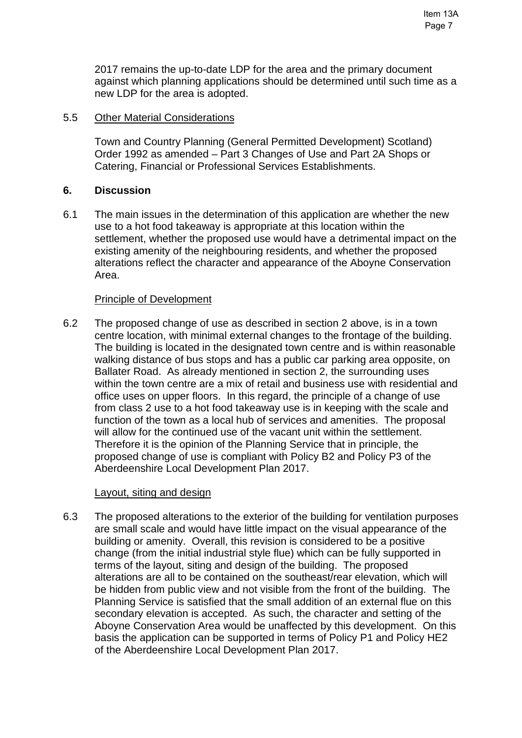#### 5.5 Other Material Considerations

Town and Country Planning (General Permitted Development) Scotland) Order 1992 as amended – Part 3 Changes of Use and Part 2A Shops or Catering, Financial or Professional Services Establishments.

### **6. Discussion**

6.1 The main issues in the determination of this application are whether the new use to a hot food takeaway is appropriate at this location within the settlement, whether the proposed use would have a detrimental impact on the existing amenity of the neighbouring residents, and whether the proposed alterations reflect the character and appearance of the Aboyne Conservation Area.

#### Principle of Development

6.2 The proposed change of use as described in section 2 above, is in a town centre location, with minimal external changes to the frontage of the building. The building is located in the designated town centre and is within reasonable walking distance of bus stops and has a public car parking area opposite, on Ballater Road. As already mentioned in section 2, the surrounding uses within the town centre are a mix of retail and business use with residential and office uses on upper floors. In this regard, the principle of a change of use from class 2 use to a hot food takeaway use is in keeping with the scale and function of the town as a local hub of services and amenities. The proposal will allow for the continued use of the vacant unit within the settlement. Therefore it is the opinion of the Planning Service that in principle, the proposed change of use is compliant with Policy B2 and Policy P3 of the Aberdeenshire Local Development Plan 2017.

#### Layout, siting and design

6.3 The proposed alterations to the exterior of the building for ventilation purposes are small scale and would have little impact on the visual appearance of the building or amenity. Overall, this revision is considered to be a positive change (from the initial industrial style flue) which can be fully supported in terms of the layout, siting and design of the building. The proposed alterations are all to be contained on the southeast/rear elevation, which will be hidden from public view and not visible from the front of the building. The Planning Service is satisfied that the small addition of an external flue on this secondary elevation is accepted. As such, the character and setting of the Aboyne Conservation Area would be unaffected by this development. On this basis the application can be supported in terms of Policy P1 and Policy HE2 of the Aberdeenshire Local Development Plan 2017.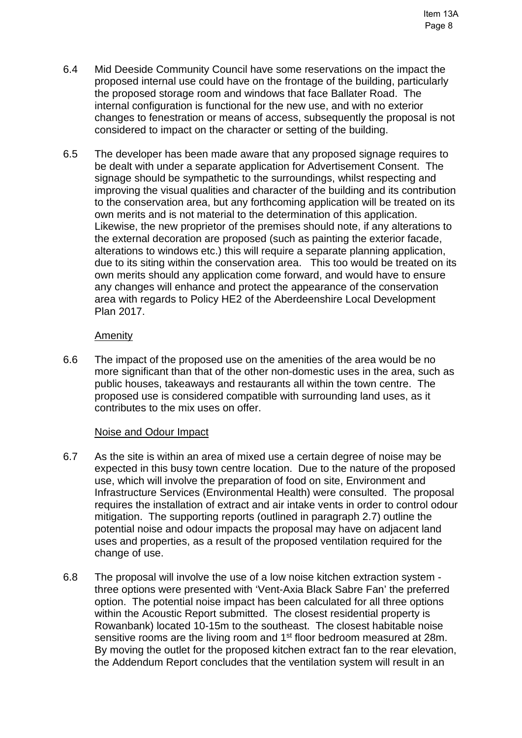- 6.4 Mid Deeside Community Council have some reservations on the impact the proposed internal use could have on the frontage of the building, particularly the proposed storage room and windows that face Ballater Road. The internal configuration is functional for the new use, and with no exterior changes to fenestration or means of access, subsequently the proposal is not considered to impact on the character or setting of the building.
- 6.5 The developer has been made aware that any proposed signage requires to be dealt with under a separate application for Advertisement Consent. The signage should be sympathetic to the surroundings, whilst respecting and improving the visual qualities and character of the building and its contribution to the conservation area, but any forthcoming application will be treated on its own merits and is not material to the determination of this application. Likewise, the new proprietor of the premises should note, if any alterations to the external decoration are proposed (such as painting the exterior facade, alterations to windows etc.) this will require a separate planning application, due to its siting within the conservation area. This too would be treated on its own merits should any application come forward, and would have to ensure any changes will enhance and protect the appearance of the conservation area with regards to Policy HE2 of the Aberdeenshire Local Development Plan 2017.

### **Amenity**

6.6 The impact of the proposed use on the amenities of the area would be no more significant than that of the other non-domestic uses in the area, such as public houses, takeaways and restaurants all within the town centre. The proposed use is considered compatible with surrounding land uses, as it contributes to the mix uses on offer.

#### Noise and Odour Impact

- 6.7 As the site is within an area of mixed use a certain degree of noise may be expected in this busy town centre location. Due to the nature of the proposed use, which will involve the preparation of food on site, Environment and Infrastructure Services (Environmental Health) were consulted. The proposal requires the installation of extract and air intake vents in order to control odour mitigation. The supporting reports (outlined in paragraph 2.7) outline the potential noise and odour impacts the proposal may have on adjacent land uses and properties, as a result of the proposed ventilation required for the change of use.
- 6.8 The proposal will involve the use of a low noise kitchen extraction system three options were presented with 'Vent-Axia Black Sabre Fan' the preferred option. The potential noise impact has been calculated for all three options within the Acoustic Report submitted. The closest residential property is Rowanbank) located 10-15m to the southeast. The closest habitable noise sensitive rooms are the living room and 1<sup>st</sup> floor bedroom measured at 28m. By moving the outlet for the proposed kitchen extract fan to the rear elevation, the Addendum Report concludes that the ventilation system will result in an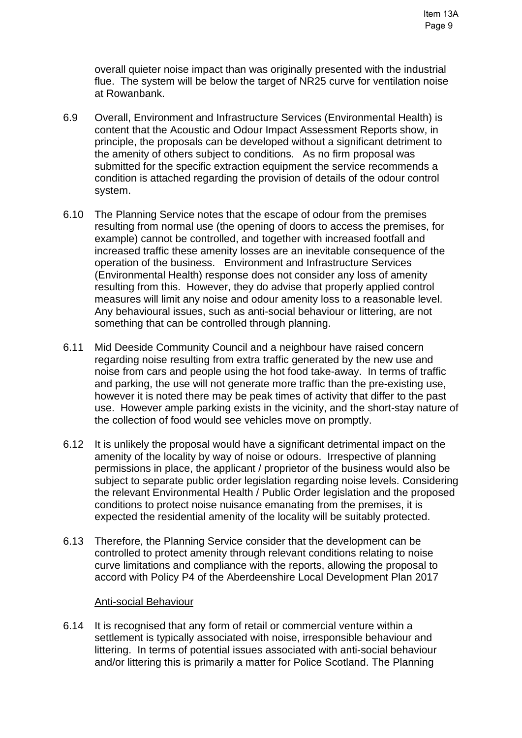overall quieter noise impact than was originally presented with the industrial flue. The system will be below the target of NR25 curve for ventilation noise at Rowanbank.

- 6.9 Overall, Environment and Infrastructure Services (Environmental Health) is content that the Acoustic and Odour Impact Assessment Reports show, in principle, the proposals can be developed without a significant detriment to the amenity of others subject to conditions. As no firm proposal was submitted for the specific extraction equipment the service recommends a condition is attached regarding the provision of details of the odour control system.
- 6.10 The Planning Service notes that the escape of odour from the premises resulting from normal use (the opening of doors to access the premises, for example) cannot be controlled, and together with increased footfall and increased traffic these amenity losses are an inevitable consequence of the operation of the business. Environment and Infrastructure Services (Environmental Health) response does not consider any loss of amenity resulting from this. However, they do advise that properly applied control measures will limit any noise and odour amenity loss to a reasonable level. Any behavioural issues, such as anti-social behaviour or littering, are not something that can be controlled through planning.
- 6.11 Mid Deeside Community Council and a neighbour have raised concern regarding noise resulting from extra traffic generated by the new use and noise from cars and people using the hot food take-away. In terms of traffic and parking, the use will not generate more traffic than the pre-existing use, however it is noted there may be peak times of activity that differ to the past use. However ample parking exists in the vicinity, and the short-stay nature of the collection of food would see vehicles move on promptly.
- 6.12 It is unlikely the proposal would have a significant detrimental impact on the amenity of the locality by way of noise or odours. Irrespective of planning permissions in place, the applicant / proprietor of the business would also be subject to separate public order legislation regarding noise levels. Considering the relevant Environmental Health / Public Order legislation and the proposed conditions to protect noise nuisance emanating from the premises, it is expected the residential amenity of the locality will be suitably protected.
- 6.13 Therefore, the Planning Service consider that the development can be controlled to protect amenity through relevant conditions relating to noise curve limitations and compliance with the reports, allowing the proposal to accord with Policy P4 of the Aberdeenshire Local Development Plan 2017

#### Anti-social Behaviour

6.14 It is recognised that any form of retail or commercial venture within a settlement is typically associated with noise, irresponsible behaviour and littering. In terms of potential issues associated with anti-social behaviour and/or littering this is primarily a matter for Police Scotland. The Planning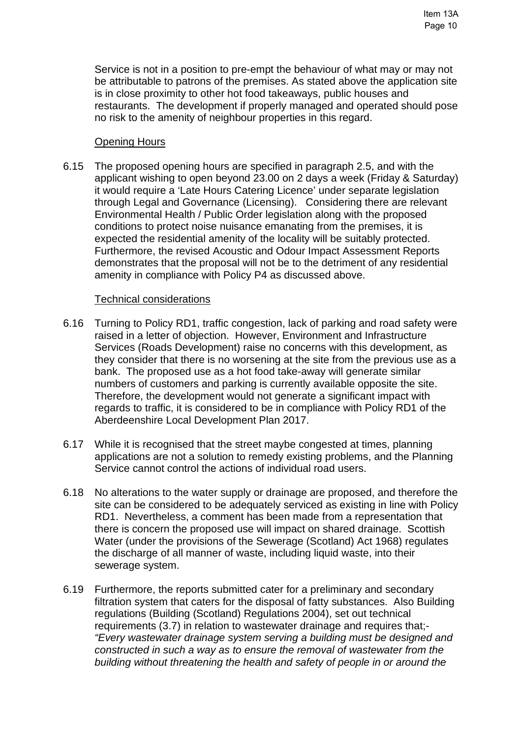Service is not in a position to pre-empt the behaviour of what may or may not be attributable to patrons of the premises. As stated above the application site is in close proximity to other hot food takeaways, public houses and restaurants. The development if properly managed and operated should pose no risk to the amenity of neighbour properties in this regard.

### Opening Hours

6.15 The proposed opening hours are specified in paragraph 2.5, and with the applicant wishing to open beyond 23.00 on 2 days a week (Friday & Saturday) it would require a 'Late Hours Catering Licence' under separate legislation through Legal and Governance (Licensing). Considering there are relevant Environmental Health / Public Order legislation along with the proposed conditions to protect noise nuisance emanating from the premises, it is expected the residential amenity of the locality will be suitably protected. Furthermore, the revised Acoustic and Odour Impact Assessment Reports demonstrates that the proposal will not be to the detriment of any residential amenity in compliance with Policy P4 as discussed above.

#### Technical considerations

- 6.16 Turning to Policy RD1, traffic congestion, lack of parking and road safety were raised in a letter of objection. However, Environment and Infrastructure Services (Roads Development) raise no concerns with this development, as they consider that there is no worsening at the site from the previous use as a bank. The proposed use as a hot food take-away will generate similar numbers of customers and parking is currently available opposite the site. Therefore, the development would not generate a significant impact with regards to traffic, it is considered to be in compliance with Policy RD1 of the Aberdeenshire Local Development Plan 2017.
- 6.17 While it is recognised that the street maybe congested at times, planning applications are not a solution to remedy existing problems, and the Planning Service cannot control the actions of individual road users.
- 6.18 No alterations to the water supply or drainage are proposed, and therefore the site can be considered to be adequately serviced as existing in line with Policy RD1. Nevertheless, a comment has been made from a representation that there is concern the proposed use will impact on shared drainage. Scottish Water (under the provisions of the Sewerage (Scotland) Act 1968) regulates the discharge of all manner of waste, including liquid waste, into their sewerage system.
- 6.19 Furthermore, the reports submitted cater for a preliminary and secondary filtration system that caters for the disposal of fatty substances. Also Building regulations (Building (Scotland) Regulations 2004), set out technical requirements (3.7) in relation to wastewater drainage and requires that;- *"Every wastewater drainage system serving a building must be designed and constructed in such a way as to ensure the removal of wastewater from the building without threatening the health and safety of people in or around the*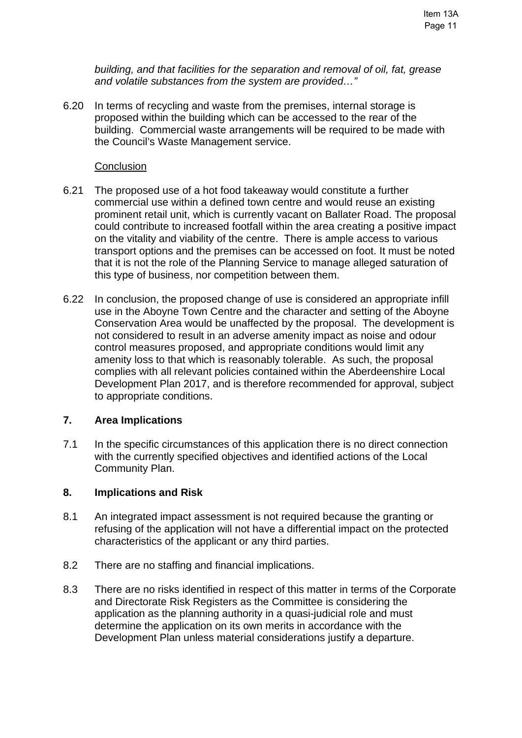*building, and that facilities for the separation and removal of oil, fat, grease and volatile substances from the system are provided…"* 

6.20 In terms of recycling and waste from the premises, internal storage is proposed within the building which can be accessed to the rear of the building. Commercial waste arrangements will be required to be made with the Council's Waste Management service.

#### **Conclusion**

- 6.21 The proposed use of a hot food takeaway would constitute a further commercial use within a defined town centre and would reuse an existing prominent retail unit, which is currently vacant on Ballater Road. The proposal could contribute to increased footfall within the area creating a positive impact on the vitality and viability of the centre. There is ample access to various transport options and the premises can be accessed on foot. It must be noted that it is not the role of the Planning Service to manage alleged saturation of this type of business, nor competition between them.
- 6.22 In conclusion, the proposed change of use is considered an appropriate infill use in the Aboyne Town Centre and the character and setting of the Aboyne Conservation Area would be unaffected by the proposal. The development is not considered to result in an adverse amenity impact as noise and odour control measures proposed, and appropriate conditions would limit any amenity loss to that which is reasonably tolerable. As such, the proposal complies with all relevant policies contained within the Aberdeenshire Local Development Plan 2017, and is therefore recommended for approval, subject to appropriate conditions.

#### **7. Area Implications**

7.1 In the specific circumstances of this application there is no direct connection with the currently specified objectives and identified actions of the Local Community Plan.

#### **8. Implications and Risk**

- 8.1 An integrated impact assessment is not required because the granting or refusing of the application will not have a differential impact on the protected characteristics of the applicant or any third parties.
- 8.2 There are no staffing and financial implications.
- 8.3 There are no risks identified in respect of this matter in terms of the Corporate and Directorate Risk Registers as the Committee is considering the application as the planning authority in a quasi-judicial role and must determine the application on its own merits in accordance with the Development Plan unless material considerations justify a departure.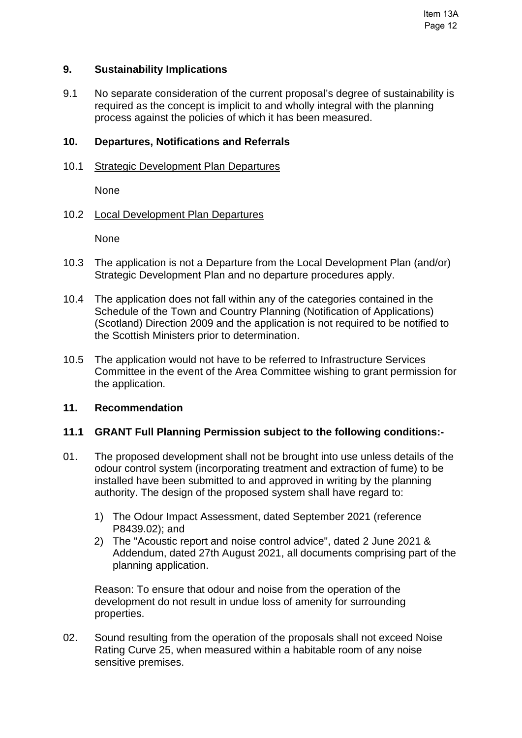#### **9. Sustainability Implications**

9.1 No separate consideration of the current proposal's degree of sustainability is required as the concept is implicit to and wholly integral with the planning process against the policies of which it has been measured.

### **10. Departures, Notifications and Referrals**

10.1 Strategic Development Plan Departures

None

### 10.2 Local Development Plan Departures

None

- 10.3 The application is not a Departure from the Local Development Plan (and/or) Strategic Development Plan and no departure procedures apply.
- 10.4 The application does not fall within any of the categories contained in the Schedule of the Town and Country Planning (Notification of Applications) (Scotland) Direction 2009 and the application is not required to be notified to the Scottish Ministers prior to determination.
- 10.5 The application would not have to be referred to Infrastructure Services Committee in the event of the Area Committee wishing to grant permission for the application.

### **11. Recommendation**

#### **11.1 GRANT Full Planning Permission subject to the following conditions:-**

- 01. The proposed development shall not be brought into use unless details of the odour control system (incorporating treatment and extraction of fume) to be installed have been submitted to and approved in writing by the planning authority. The design of the proposed system shall have regard to:
	- 1) The Odour Impact Assessment, dated September 2021 (reference P8439.02); and
	- 2) The "Acoustic report and noise control advice", dated 2 June 2021 & Addendum, dated 27th August 2021, all documents comprising part of the planning application.

 Reason: To ensure that odour and noise from the operation of the development do not result in undue loss of amenity for surrounding properties.

02. Sound resulting from the operation of the proposals shall not exceed Noise Rating Curve 25, when measured within a habitable room of any noise sensitive premises.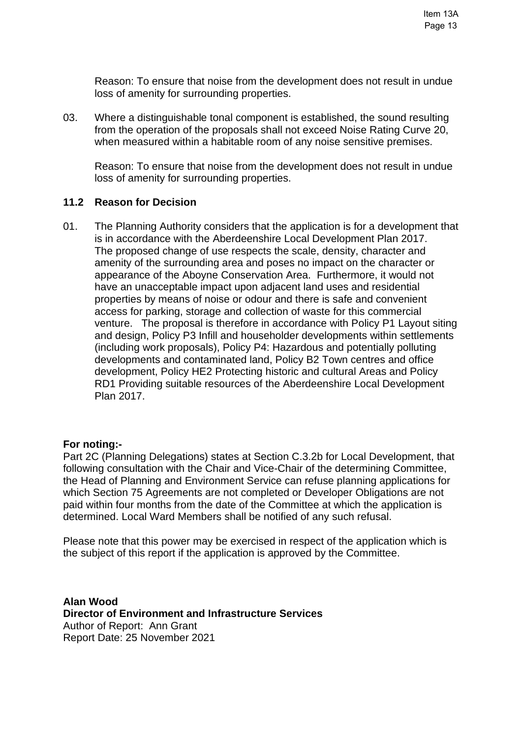Reason: To ensure that noise from the development does not result in undue loss of amenity for surrounding properties.

03. Where a distinguishable tonal component is established, the sound resulting from the operation of the proposals shall not exceed Noise Rating Curve 20, when measured within a habitable room of any noise sensitive premises.

 Reason: To ensure that noise from the development does not result in undue loss of amenity for surrounding properties.

### **11.2 Reason for Decision**

01. The Planning Authority considers that the application is for a development that is in accordance with the Aberdeenshire Local Development Plan 2017. The proposed change of use respects the scale, density, character and amenity of the surrounding area and poses no impact on the character or appearance of the Aboyne Conservation Area. Furthermore, it would not have an unacceptable impact upon adjacent land uses and residential properties by means of noise or odour and there is safe and convenient access for parking, storage and collection of waste for this commercial venture. The proposal is therefore in accordance with Policy P1 Layout siting and design, Policy P3 Infill and householder developments within settlements (including work proposals), Policy P4: Hazardous and potentially polluting developments and contaminated land, Policy B2 Town centres and office development, Policy HE2 Protecting historic and cultural Areas and Policy RD1 Providing suitable resources of the Aberdeenshire Local Development Plan 2017.

#### **For noting:-**

Part 2C (Planning Delegations) states at Section C.3.2b for Local Development, that following consultation with the Chair and Vice-Chair of the determining Committee, the Head of Planning and Environment Service can refuse planning applications for which Section 75 Agreements are not completed or Developer Obligations are not paid within four months from the date of the Committee at which the application is determined. Local Ward Members shall be notified of any such refusal.

Please note that this power may be exercised in respect of the application which is the subject of this report if the application is approved by the Committee.

**Alan Wood Director of Environment and Infrastructure Services**  Author of Report: Ann Grant Report Date: 25 November 2021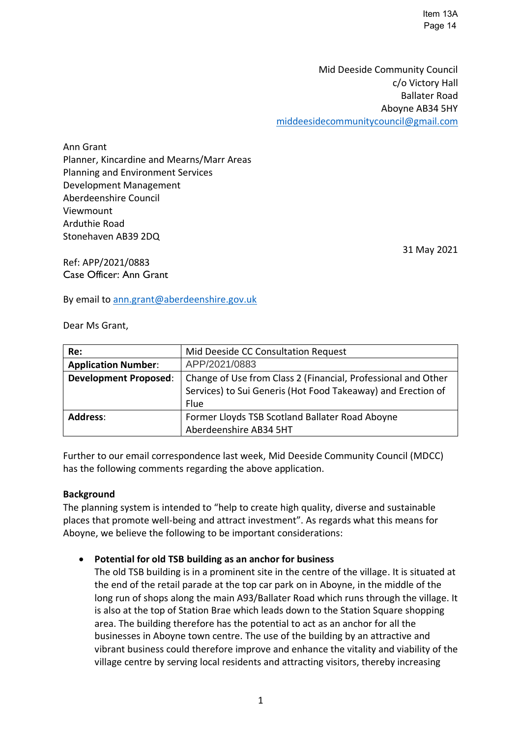Item 13A Page 14

Mid Deeside Community Council c/o Victory Hall Ballater Road Aboyne AB34 5HY [middeesidecommunitycouncil@gmail.com](mailto:middeesidecommunitycouncil@gmail.com)

Ann Grant Planner, Kincardine and Mearns/Marr Areas Planning and Environment Services Development Management Aberdeenshire Council Viewmount Arduthie Road Stonehaven AB39 2DQ

Ref: APP/2021/0883 Case Officer: Ann Grant

By email to [ann.grant@aberdeenshire.gov.uk](mailto:ann.grant@aberdeenshire.gov.uk)

Dear Ms Grant,

| Re:                          | Mid Deeside CC Consultation Request                           |
|------------------------------|---------------------------------------------------------------|
| <b>Application Number:</b>   | APP/2021/0883                                                 |
| <b>Development Proposed:</b> | Change of Use from Class 2 (Financial, Professional and Other |
|                              | Services) to Sui Generis (Hot Food Takeaway) and Erection of  |
|                              | Flue                                                          |
| <b>Address:</b>              | Former Lloyds TSB Scotland Ballater Road Aboyne               |
|                              | Aberdeenshire AB34 5HT                                        |

Further to our email correspondence last week, Mid Deeside Community Council (MDCC) has the following comments regarding the above application.

#### **Background**

The planning system is intended to "help to create high quality, diverse and sustainable places that promote well-being and attract investment". As regards what this means for Aboyne, we believe the following to be important considerations:

#### • **Potential for old TSB building as an anchor for business**

The old TSB building is in a prominent site in the centre of the village. It is situated at the end of the retail parade at the top car park on in Aboyne, in the middle of the long run of shops along the main A93/Ballater Road which runs through the village. It is also at the top of Station Brae which leads down to the Station Square shopping area. The building therefore has the potential to act as an anchor for all the businesses in Aboyne town centre. The use of the building by an attractive and vibrant business could therefore improve and enhance the vitality and viability of the village centre by serving local residents and attracting visitors, thereby increasing

31 May 2021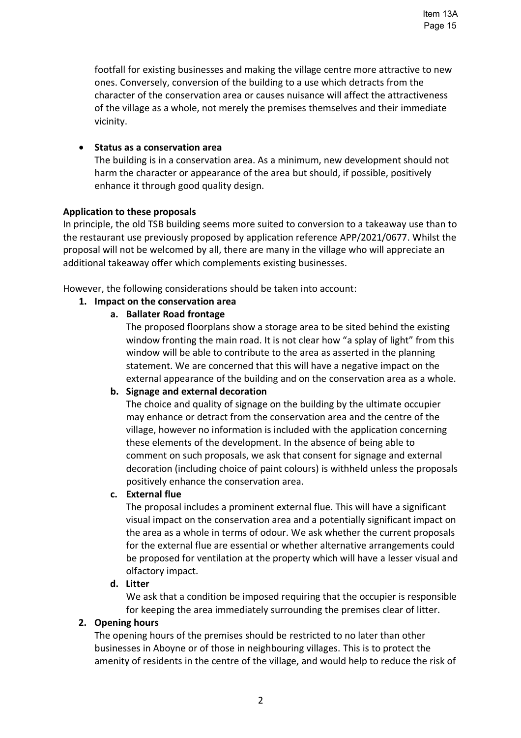footfall for existing businesses and making the village centre more attractive to new ones. Conversely, conversion of the building to a use which detracts from the character of the conservation area or causes nuisance will affect the attractiveness of the village as a whole, not merely the premises themselves and their immediate vicinity.

#### • **Status as a conservation area**

The building is in a conservation area. As a minimum, new development should not harm the character or appearance of the area but should, if possible, positively enhance it through good quality design.

### **Application to these proposals**

In principle, the old TSB building seems more suited to conversion to a takeaway use than to the restaurant use previously proposed by application reference APP/2021/0677. Whilst the proposal will not be welcomed by all, there are many in the village who will appreciate an additional takeaway offer which complements existing businesses.

However, the following considerations should be taken into account:

### **1. Impact on the conservation area**

### **a. Ballater Road frontage**

The proposed floorplans show a storage area to be sited behind the existing window fronting the main road. It is not clear how "a splay of light" from this window will be able to contribute to the area as asserted in the planning statement. We are concerned that this will have a negative impact on the external appearance of the building and on the conservation area as a whole.

# **b. Signage and external decoration**

The choice and quality of signage on the building by the ultimate occupier may enhance or detract from the conservation area and the centre of the village, however no information is included with the application concerning these elements of the development. In the absence of being able to comment on such proposals, we ask that consent for signage and external decoration (including choice of paint colours) is withheld unless the proposals positively enhance the conservation area.

#### **c. External flue**

The proposal includes a prominent external flue. This will have a significant visual impact on the conservation area and a potentially significant impact on the area as a whole in terms of odour. We ask whether the current proposals for the external flue are essential or whether alternative arrangements could be proposed for ventilation at the property which will have a lesser visual and olfactory impact.

#### **d. Litter**

We ask that a condition be imposed requiring that the occupier is responsible for keeping the area immediately surrounding the premises clear of litter.

#### **2. Opening hours**

The opening hours of the premises should be restricted to no later than other businesses in Aboyne or of those in neighbouring villages. This is to protect the amenity of residents in the centre of the village, and would help to reduce the risk of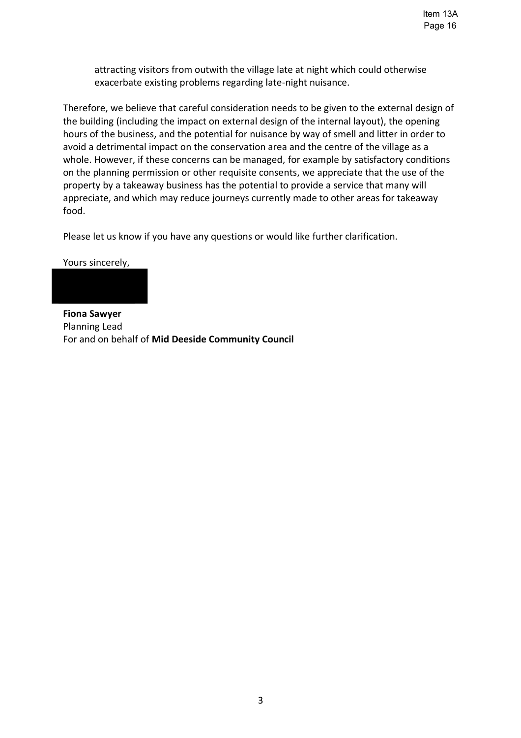attracting visitors from outwith the village late at night which could otherwise exacerbate existing problems regarding late-night nuisance.

Therefore, we believe that careful consideration needs to be given to the external design of the building (including the impact on external design of the internal layout), the opening hours of the business, and the potential for nuisance by way of smell and litter in order to avoid a detrimental impact on the conservation area and the centre of the village as a whole. However, if these concerns can be managed, for example by satisfactory conditions on the planning permission or other requisite consents, we appreciate that the use of the property by a takeaway business has the potential to provide a service that many will appreciate, and which may reduce journeys currently made to other areas for takeaway food.

Please let us know if you have any questions or would like further clarification.

Yours sincerely,



**Fiona Sawyer** Planning Lead For and on behalf of **Mid Deeside Community Council**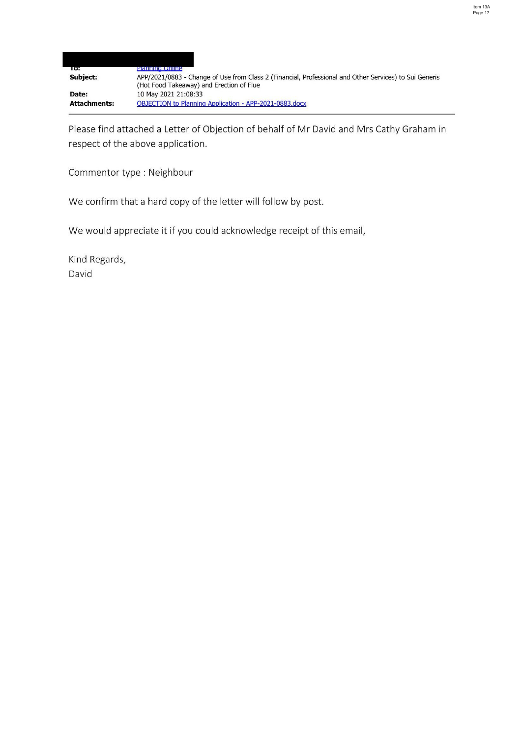| 10:                 | Planning Unline                                                                                                                                    |
|---------------------|----------------------------------------------------------------------------------------------------------------------------------------------------|
| Subject:            | APP/2021/0883 - Change of Use from Class 2 (Financial, Professional and Other Services) to Sui Generis<br>(Hot Food Takeaway) and Erection of Flue |
| Date:               | 10 May 2021 21:08:33                                                                                                                               |
| <b>Attachments:</b> | <b>OBJECTION to Planning Application - APP-2021-0883.docx</b>                                                                                      |

Please find attached a Letter of Objection of behalf of Mr David and Mrs Cathy Graham in respect of the above application.

Commentor type : Neighbour

We confirm that a hard copy of the letter will follow by post.

We would appreciate it if you could acknowledge receipt of this email,

Kind Regards,

David

 $\overline{a}$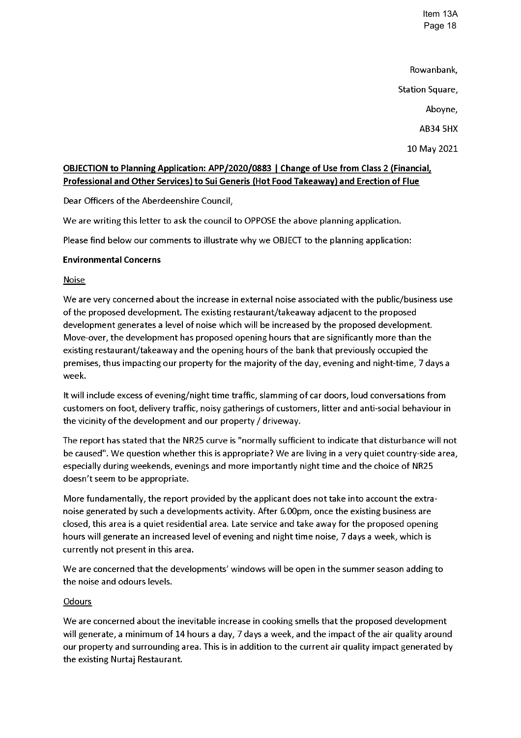Item 13A Page 18

Rowanbank, Station Square, Aboyne, **AB34 5HX** 

# 10 May 2021

# OBJECTION to Planning Application: APP/2020/0883 | Change of Use from Class 2 (Financial, Professional and Other Services) to Sui Generis (Hot Food Takeaway) and Erection of Flue

Dear Officers of the Aberdeenshire Council,

We are writing this letter to ask the council to OPPOSE the above planning application.

Please find below our comments to illustrate why we OBJECT to the planning application:

### **Environmental Concerns**

#### **Noise**

We are very concerned about the increase in external noise associated with the public/business use of the proposed development. The existing restaurant/takeaway adjacent to the proposed development generates a level of noise which will be increased by the proposed development. Move-over, the development has proposed opening hours that are significantly more than the existing restaurant/takeaway and the opening hours of the bank that previously occupied the premises, thus impacting our property for the majority of the day, evening and night-time, 7 days a week.

It will include excess of evening/night time traffic, slamming of car doors, loud conversations from customers on foot, delivery traffic, noisy gatherings of customers, litter and anti-social behaviour in the vicinity of the development and our property / driveway.

The report has stated that the NR25 curve is "normally sufficient to indicate that disturbance will not be caused". We question whether this is appropriate? We are living in a very quiet country-side area, especially during weekends, evenings and more importantly night time and the choice of NR25 doesn't seem to be appropriate.

More fundamentally, the report provided by the applicant does not take into account the extranoise generated by such a developments activity. After 6.00pm, once the existing business are closed, this area is a quiet residential area. Late service and take away for the proposed opening hours will generate an increased level of evening and night time noise, 7 days a week, which is currently not present in this area.

We are concerned that the developments' windows will be open in the summer season adding to the noise and odours levels.

#### Odours

We are concerned about the inevitable increase in cooking smells that the proposed development will generate, a minimum of 14 hours a day, 7 days a week, and the impact of the air quality around our property and surrounding area. This is in addition to the current air quality impact generated by the existing Nurtaj Restaurant.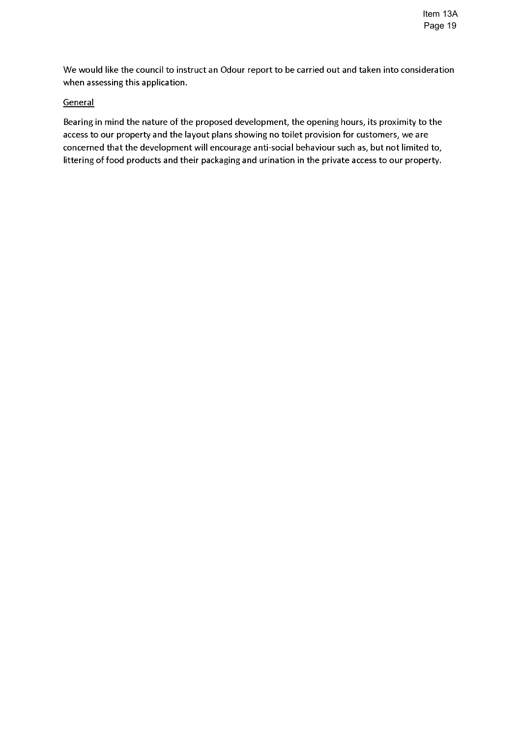We would like the council to instruct an Odour report to be carried out and taken into consideration when assessing this application.

#### General

Bearing in mind the nature of the proposed development, the opening hours, its proximity to the access to our property and the layout plans showing no toilet provision for customers, we are concerned that the development will encourage anti-social behaviour such as, but not limited to, littering of food products and their packaging and urination in the private access to our property.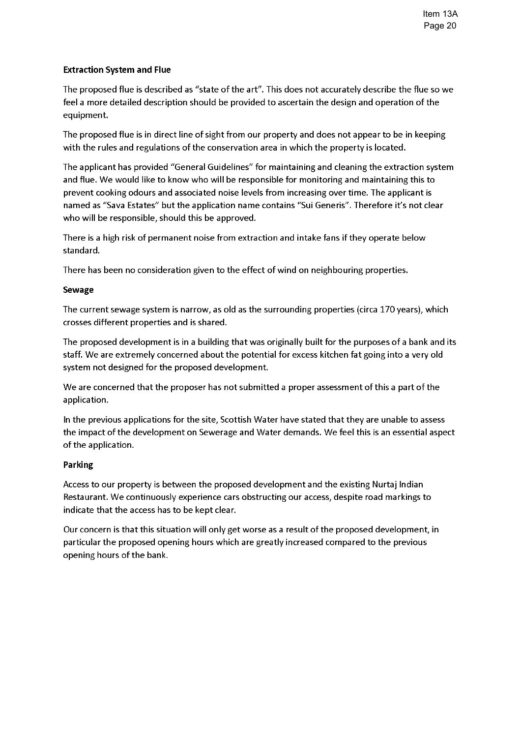#### **Extraction System and Flue**

The proposed flue is described as "state of the art". This does not accurately describe the flue so we feel a more detailed description should be provided to ascertain the design and operation of the equipment.

The proposed flue is in direct line of sight from our property and does not appear to be in keeping with the rules and regulations of the conservation area in which the property is located.

The applicant has provided "General Guidelines" for maintaining and cleaning the extraction system and flue. We would like to know who will be responsible for monitoring and maintaining this to prevent cooking odours and associated noise levels from increasing over time. The applicant is named as "Sava Estates" but the application name contains "Sui Generis". Therefore it's not clear who will be responsible, should this be approved.

There is a high risk of permanent noise from extraction and intake fans if they operate below standard.

There has been no consideration given to the effect of wind on neighbouring properties.

#### **Sewage**

The current sewage system is narrow, as old as the surrounding properties (circa 170 years), which crosses different properties and is shared.

The proposed development is in a building that was originally built for the purposes of a bank and its staff. We are extremely concerned about the potential for excess kitchen fat going into a very old system not designed for the proposed development.

We are concerned that the proposer has not submitted a proper assessment of this a part of the application.

In the previous applications for the site, Scottish Water have stated that they are unable to assess the impact of the development on Sewerage and Water demands. We feel this is an essential aspect of the application.

#### **Parking**

Access to our property is between the proposed development and the existing Nurtaj Indian Restaurant. We continuously experience cars obstructing our access, despite road markings to indicate that the access has to be kept clear.

Our concern is that this situation will only get worse as a result of the proposed development, in particular the proposed opening hours which are greatly increased compared to the previous opening hours of the bank.